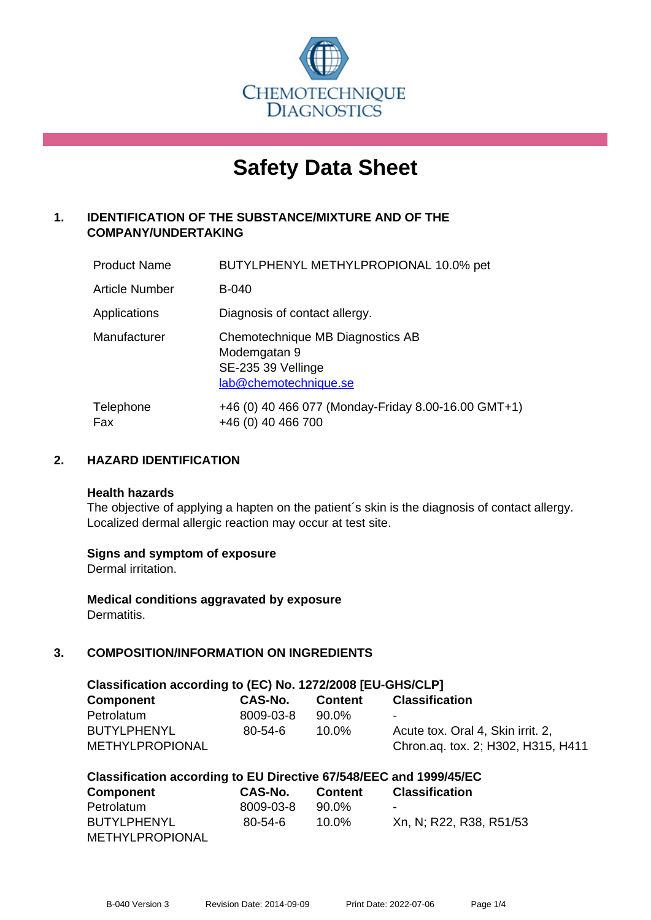

# **Safety Data Sheet**

# **1. IDENTIFICATION OF THE SUBSTANCE/MIXTURE AND OF THE COMPANY/UNDERTAKING**

| <b>Product Name</b>   | BUTYLPHENYL METHYLPROPIONAL 10.0% pet                                                           |
|-----------------------|-------------------------------------------------------------------------------------------------|
| <b>Article Number</b> | <b>B-040</b>                                                                                    |
| Applications          | Diagnosis of contact allergy.                                                                   |
| Manufacturer          | Chemotechnique MB Diagnostics AB<br>Modemgatan 9<br>SE-235 39 Vellinge<br>lab@chemotechnique.se |
| Telephone<br>Fax      | +46 (0) 40 466 077 (Monday-Friday 8.00-16.00 GMT+1)<br>+46 (0) 40 466 700                       |

# **2. HAZARD IDENTIFICATION**

#### **Health hazards**

The objective of applying a hapten on the patient's skin is the diagnosis of contact allergy. Localized dermal allergic reaction may occur at test site.

## **Signs and symptom of exposure**

Dermal irritation.

**Medical conditions aggravated by exposure** Dermatitis.

# **3. COMPOSITION/INFORMATION ON INGREDIENTS**

| Classification according to (EC) No. 1272/2008 [EU-GHS/CLP] |           |                |                                    |  |  |
|-------------------------------------------------------------|-----------|----------------|------------------------------------|--|--|
| Component                                                   | CAS-No.   | <b>Content</b> | <b>Classification</b>              |  |  |
| Petrolatum                                                  | 8009-03-8 | 90.0%          | $\blacksquare$                     |  |  |
| <b>BUTYLPHENYL</b>                                          | 80-54-6   | $10.0\%$       | Acute tox. Oral 4, Skin irrit. 2,  |  |  |
| <b>METHYLPROPIONAL</b>                                      |           |                | Chron.aq. tox. 2; H302, H315, H411 |  |  |

| Classification according to EU Directive 67/548/EEC and 1999/45/EC |           |                |                         |  |
|--------------------------------------------------------------------|-----------|----------------|-------------------------|--|
| <b>Component</b>                                                   | CAS-No.   | <b>Content</b> | <b>Classification</b>   |  |
| Petrolatum                                                         | 8009-03-8 | 90.0%          |                         |  |
| <b>BUTYLPHENYL</b>                                                 | 80-54-6   | 10.0%          | Xn, N; R22, R38, R51/53 |  |
| <b>METHYLPROPIONAL</b>                                             |           |                |                         |  |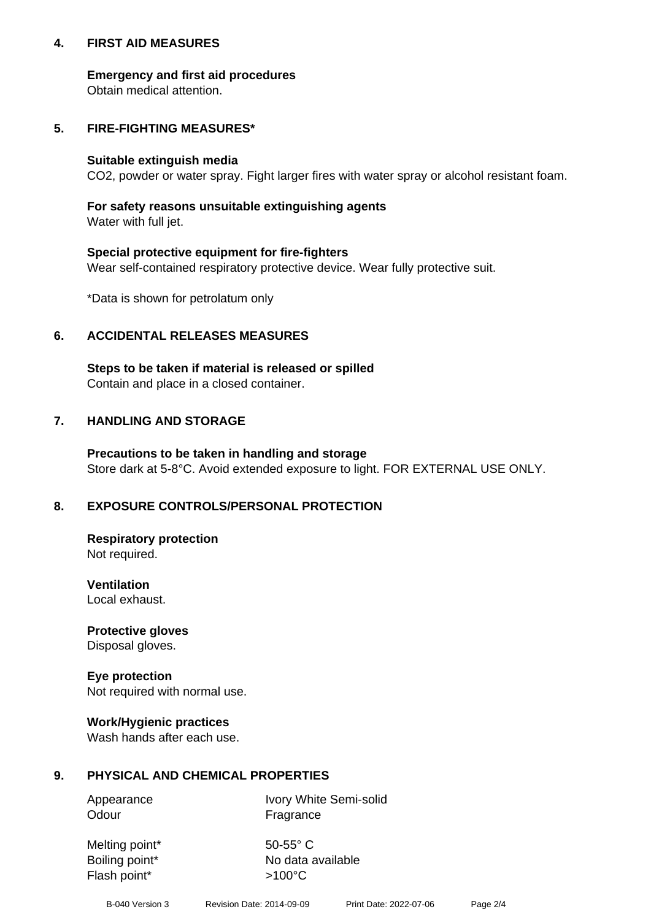## **4. FIRST AID MEASURES**

## **Emergency and first aid procedures**

Obtain medical attention.

# **5. FIRE-FIGHTING MEASURES\***

#### **Suitable extinguish media**

CO2, powder or water spray. Fight larger fires with water spray or alcohol resistant foam.

# **For safety reasons unsuitable extinguishing agents**

Water with full jet.

## **Special protective equipment for fire-fighters**

Wear self-contained respiratory protective device. Wear fully protective suit.

\*Data is shown for petrolatum only

# **6. ACCIDENTAL RELEASES MEASURES**

**Steps to be taken if material is released or spilled** Contain and place in a closed container.

# **7. HANDLING AND STORAGE**

**Precautions to be taken in handling and storage** Store dark at 5-8°C. Avoid extended exposure to light. FOR EXTERNAL USE ONLY.

# **8. EXPOSURE CONTROLS/PERSONAL PROTECTION**

**Respiratory protection** Not required.

**Ventilation** Local exhaust.

**Protective gloves** Disposal gloves.

#### **Eye protection** Not required with normal use.

## **Work/Hygienic practices**

Wash hands after each use.

## **9. PHYSICAL AND CHEMICAL PROPERTIES**

Odour Fragrance

Appearance Ivory White Semi-solid

Melting point\* 50-55° C Flash point\*  $>100^{\circ}$ C

Boiling point\* No data available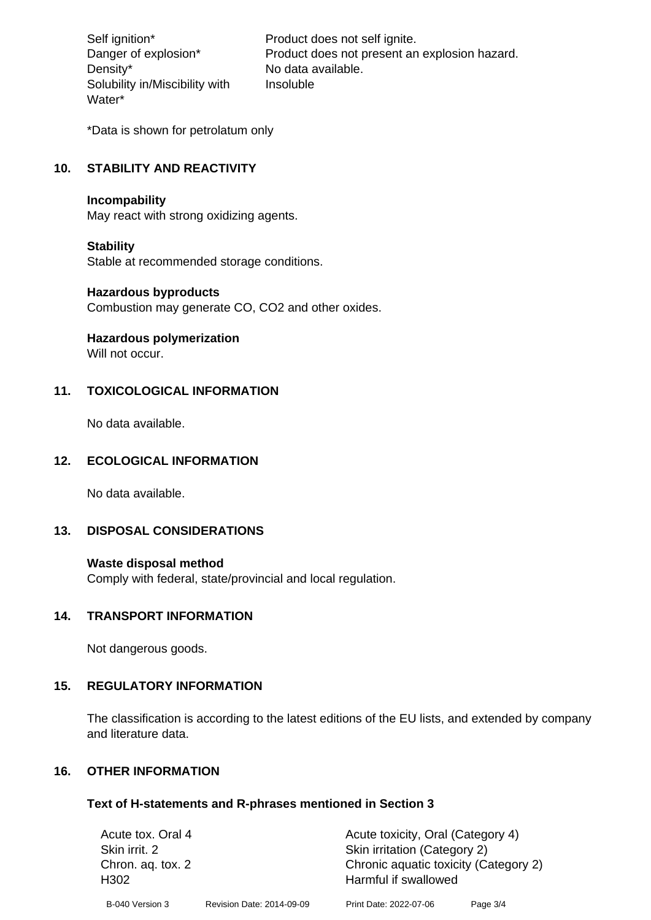Density\* No data available. Solubility in/Miscibility with Water\*

Self ignition\* Product does not self ignite. Danger of explosion\* Product does not present an explosion hazard. Insoluble

\*Data is shown for petrolatum only

# **10. STABILITY AND REACTIVITY**

#### **Incompability**

May react with strong oxidizing agents.

#### **Stability**

Stable at recommended storage conditions.

#### **Hazardous byproducts**

Combustion may generate CO, CO2 and other oxides.

**Hazardous polymerization**

Will not occur.

## **11. TOXICOLOGICAL INFORMATION**

No data available.

## **12. ECOLOGICAL INFORMATION**

No data available.

## **13. DISPOSAL CONSIDERATIONS**

#### **Waste disposal method**

Comply with federal, state/provincial and local regulation.

#### **14. TRANSPORT INFORMATION**

Not dangerous goods.

## **15. REGULATORY INFORMATION**

The classification is according to the latest editions of the EU lists, and extended by company and literature data.

#### **16. OTHER INFORMATION**

#### **Text of H-statements and R-phrases mentioned in Section 3**

| Acute tox. Oral 4                     |                           | Acute toxicity, Oral (Category 4)                             |          |  |
|---------------------------------------|---------------------------|---------------------------------------------------------------|----------|--|
| Skin irrit. 2                         |                           | Skin irritation (Category 2)                                  |          |  |
| Chron. ag. tox. 2<br>H <sub>302</sub> |                           | Chronic aquatic toxicity (Category 2)<br>Harmful if swallowed |          |  |
| B-040 Version 3                       | Revision Date: 2014-09-09 | Print Date: 2022-07-06                                        | Page 3/4 |  |